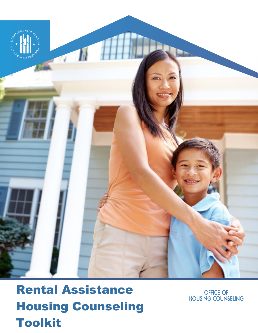

# Rental Assistance Housing Counseling Toolkit

OFFICE OF **HOUSING COUNSELING**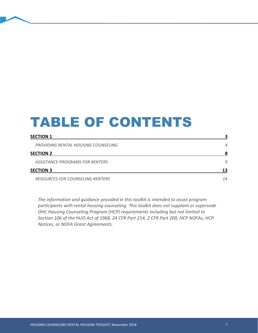# TABLE OF CONTENTS

| <b>SECTION 1</b>                        |    |
|-----------------------------------------|----|
| PROVIDING RENTAL HOUSING COUNSELING     | 4  |
| <b>SECTION 2</b>                        | 8  |
| ASSISTANCE PROGRAMS FOR RENTERS         | 9  |
| <b>SECTION 3</b>                        | 13 |
| <b>RESOURCES FOR COUNSELING RENTERS</b> | 14 |

*The information and guidance provided in this toolkit is intended to assist program participants with rental housing counseling. This toolkit does not supplant or supersede OHC Housing Counseling Program (HCP) requirements including but not limited to Section 106 of the HUD Act of 1968, 24 CFR Part 214, 2 CFR Part 200, HCP NOFAs, HCP Notices, or NOFA Grant Agreements.*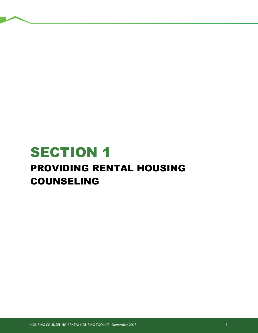# <span id="page-2-0"></span>SECTION 1 PROVIDING RENTAL HOUSING COUNSELING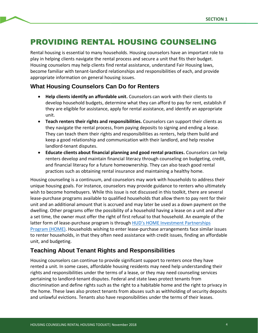# <span id="page-3-0"></span>PROVIDING RENTAL HOUSING COUNSELING

Rental housing is essential to many households. Housing counselors have an important role to play in helping clients navigate the rental process and secure a unit that fits their budget. Housing counselors may help clients find rental assistance, understand Fair Housing laws, become familiar with tenant-landlord relationships and responsibilities of each, and provide appropriate information on general housing issues.

## **What Housing Counselors Can Do for Renters**

- **Help clients identify an affordable unit.** Counselors can work with their clients to develop household budgets, determine what they can afford to pay for rent, establish if they are eligible for assistance, apply for rental assistance, and identify an appropriate unit.
- **Teach renters their rights and responsibilities.** Counselors can support their clients as they navigate the rental process, from paying deposits to signing and ending a lease. They can teach them their rights and responsibilities as renters, help them build and keep a good relationship and communication with their landlord, and help resolve landlord-tenant disputes.
- **Educate clients about financial planning and good rental practices.** Counselors can help renters develop and maintain financial literacy through counseling on budgeting, credit, and financial literacy for a future homeownership. They can also teach good rental practices such as obtaining rental insurance and maintaining a healthy home.

Housing counseling is a continuum, and counselors may work with households to address their unique housing goals. For instance, counselors may provide guidance to renters who ultimately wish to become homebuyers. While this issue is not discussed in this toolkit, there are several lease-purchase programs available to qualified households that allow them to pay rent for their unit and an additional amount that is accrued and may later be used as a down payment on the dwelling. Other programs offer the possibility of a household having a lease on a unit and after a set time, the owner must offer the right of first refusal to that household. An example of the latter form of lease-purchase program is through HUD's HOME Investment Partnerships [Program \(HOME\).](https://www.hud.gov/program_offices/comm_planning/affordablehousing/programs/home/) Households wishing to enter lease-purchase arrangements face similar issues to renter households, in that they often need assistance with credit issues, finding an affordable unit, and budgeting.

## **Teaching About Tenant Rights and Responsibilities**

Housing counselors can continue to provide significant support to renters once they have rented a unit. In some cases, affordable housing residents may need help understanding their rights and responsibilities under the terms of a lease, or they may need counseling services pertaining to landlord-tenant disputes. Federal and state laws protect tenants from discrimination and define rights such as the right to a habitable home and the right to privacy in the home. These laws also protect tenants from abuses such as withholding of security deposits and unlawful evictions. Tenants also have responsibilities under the terms of their leases.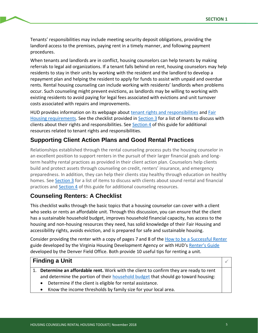Tenants' responsibilities may include meeting security deposit obligations, providing the landlord access to the premises, paying rent in a timely manner, and following payment procedures.

When tenants and landlords are in conflict, housing counselors can help tenants by making referrals to legal aid organizations. If a tenant falls behind on rent, housing counselors may help residents to stay in their units by working with the resident and the landlord to develop a repayment plan and helping the resident to apply for funds to assist with unpaid and overdue rents. Rental housing counseling can include working with residents' landlords when problems occur. Such counseling might prevent evictions, as landlords may be willing to working with existing residents to avoid paying for legal fees associated with evictions and unit turnover costs associated with repairs and improvements.

HUD provides information on its webpage about [tenant rights and responsibilities](https://www.hud.gov/groups/tenants) and [Fair](https://www.hud.gov/program_offices/fair_housing_equal_opp/online-complaint) Housing requirements. See the checklist provided in [Section 3](#page-12-0) for a list of items to discuss with clients about their rights and responsibilities. See [Section 4](#page-12-0) of this guide for additional resources related to tenant rights and responsibilities.

## **Supporting Client Action Plans and Good Rental Practices**

Relationships established through the rental counseling process puts the housing counselor in an excellent position to support renters in the pursuit of their larger financial goals and longterm healthy rental practices as provided in their client action plan. Counselors help clients build and protect assets through counseling on credit, renters' insurance, and emergency preparedness. In addition, they can help their clients stay healthy through education on healthy homes. See [Section 3](#page-12-0) for a list of items to discuss with clients about sound rental and financial practices and [Section 4](#page-12-0) of this guide for additional counseling resources.

## **Counseling Renters: A Checklist**

This checklist walks through the basic topics that a housing counselor can cover with a client who seeks or rents an affordable unit. Through this discussion, you can ensure that the client has a sustainable household budget, improves household financial capacity, has access to the housing and non-housing resources they need, has solid knowledge of their Fair Housing and accessibility rights, avoids eviction, and is prepared for safe and sustainable housing.

Consider providing the renter with a copy of pages 7 and 8 of the [How to be a Successful Renter](https://www.vhda.com/Renters/Documents/RenterHandbook.pdf) guide developed by the Virginia Housing Development Agency or with HUD'[s Renter's Guide](https://www.hud.gov/states/shared/working/r8/mf/topten) developed by the Denver Field Office. Both provide 10 useful tips for renting a unit.

### **Finding a Unit**

- 1. **Determine an affordable rent.** Work with the client to confirm they are ready to rent and determine the portion of their [household budget](https://www.hudexchange.info/programs/housing-counseling/resources/capacity-building/#sample-program-policies-procedures-and-forms) that should go toward housing:
	- Determine if the client is eligible for rental assistance.
	- Know the income thresholds by family size for your local area.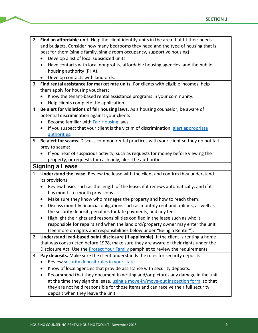- 2. **Find an affordable unit.** Help the client identify units in the area that fit their needs and budgets. Consider how many bedrooms they need and the type of housing that is best for them (single family, single room occupancy, supportive housing):
	- Develop a list of local subsidized units.
	- Have contacts with local nonprofits, affordable housing agencies, and the public housing authority (PHA).
	- Develop contacts with landlords.
- 3. **Find rental assistance for market rate units.** For clients with eligible incomes, help them apply for housing vouchers:
	- Know the tenant-based rental assistance programs in your community.
	- Help clients complete the application.
- 4. **Be alert for violations of fair housing laws.** As a housing counselor, be aware of pot ential discrimination against your clients:
	- Become familiar with [Fair Housing](https://www.hud.gov/program_offices/fair_housing_equal_opp/fair_housing_resources) laws.
	- If you suspect that your client is the victim of discrimination, alert appropriate [authorities.](https://www.hud.gov/program_offices/fair_housing_equal_opp/online-complaint)
- 5. **Be alert for scams.** Discuss common rental practices with your client so they do not fall prey to scams:
	- If you hear of suspicious activity, such as requests for money before viewing the property, or requests for cash only, alert the authorities.

#### **Signing a Lease**

- 1. **Understand the lease.** Review the lease with the client and confirm they understand its provisions:
	- Review basics such as the length of the lease, if it renews automatically, and if it has month-to-month provisions.
	- Make sure they know who manages the property and how to reach them.
	- Discuss monthly financial obligations such as monthly rent and utilities, as well as the security deposit, penalties for late payments, and any fees.
	- Highlight the rights and responsibilities codified in the lease such as who is responsible for repairs and when the landlord/property owner may enter the unit (see more on rights and responsibilities below under "Being a Renter").
- 2. **Understand lead-based paint disclosure (if applicable).** If the client is renting a home that was constructed before 1978, make sure they are aware of their rights under the Disclosure Act. Use the [Protect Your Family](https://www.epa.gov/lead/protect-your-family-lead-your-home) pamphlet to review the requirements.
- 3. **Pay deposits.** Make sure the client understands the rules for security deposits:
	- Revie[w security deposit rules in your state.](https://www.nolo.com/legal-encyclopedia/security-deposit-limits-deadlines-your-state-36186.html)
	- Know of local agencies that provide assistance with security deposits.
	- Recommend that they document in writing and/or pictures any damage in the unit at the time they sign the lease[, using a move-in/move-out inspection form,](https://www.hud.gov/sites/documents/90106.PDF) so that they are not held responsible for those items and can receive their full security deposit when they leave the unit.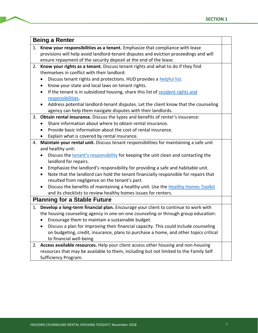|    | <b>Being a Renter</b>                                                                          |  |  |  |
|----|------------------------------------------------------------------------------------------------|--|--|--|
| 1. | Know your responsibilities as a tenant. Emphasize that compliance with lease                   |  |  |  |
|    | provisions will help avoid landlord-tenant disputes and eviction proceedings and will          |  |  |  |
|    | ensure repayment of the security deposit at the end of the lease.                              |  |  |  |
| 2. | Know your rights as a tenant. Discuss tenant rights and what to do if they find                |  |  |  |
|    | themselves in conflict with their landlord:                                                    |  |  |  |
|    | Discuss tenant rights and protections. HUD provides a helpful list.                            |  |  |  |
|    | Know your state and local laws on tenant rights.                                               |  |  |  |
|    | If the tenant is in subsidized housing, share this list of resident rights and                 |  |  |  |
|    | responsibilities.                                                                              |  |  |  |
|    | Address potential landlord-tenant disputes. Let the client know that the counseling            |  |  |  |
|    | agency can help them navigate disputes with their landlords.                                   |  |  |  |
|    | 3. Obtain rental insurance. Discuss the types and benefits of renter's insurance:              |  |  |  |
|    | Share information about where to obtain rental insurance.                                      |  |  |  |
|    | Provide basic information about the cost of rental insurance.                                  |  |  |  |
|    | Explain what is covered by rental insurance.                                                   |  |  |  |
| 4. | Maintain your rental unit. Discuss tenant responsibilities for maintaining a safe unit         |  |  |  |
|    | and healthy unit:                                                                              |  |  |  |
|    | Discuss the tenant's responsibility for keeping the unit clean and contacting the              |  |  |  |
|    | landlord for repairs.                                                                          |  |  |  |
|    | Emphasize the landlord's responsibility for providing a safe and habitable unit.               |  |  |  |
|    | Note that the landlord can hold the tenant financially responsible for repairs that            |  |  |  |
|    | resulted from negligence on the tenant's part.                                                 |  |  |  |
|    | Discuss the benefits of maintaining a healthy unit. Use the Healthy Homes Toolkit<br>$\bullet$ |  |  |  |
|    | and its checklists to review healthy homes issues for renters.                                 |  |  |  |
|    | <b>Planning for a Stable Future</b>                                                            |  |  |  |
|    | 1. Develop a long-term financial plan. Encourage your client to continue to work with          |  |  |  |
|    | the housing counseling agency in one-on-one counseling or through group education:             |  |  |  |
|    | Encourage them to maintain a sustainable budget.                                               |  |  |  |
|    | Discuss a plan for improving their financial capacity. This could include counseling           |  |  |  |
|    | on budgeting, credit, insurance, plans to purchase a home, and other topics critical           |  |  |  |
|    | to financial well-being.                                                                       |  |  |  |
|    | 2. Access available resources. Help your client access other housing and non-housing           |  |  |  |
|    | resources that may be available to them, including but not limited to the Family Self          |  |  |  |
|    | Sufficiency Program.                                                                           |  |  |  |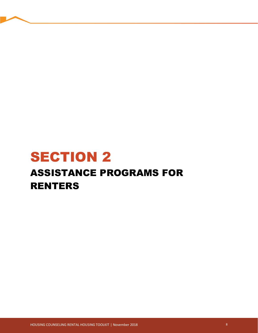# <span id="page-7-0"></span>SECTION 2 ASSISTANCE PROGRAMS FOR RENTERS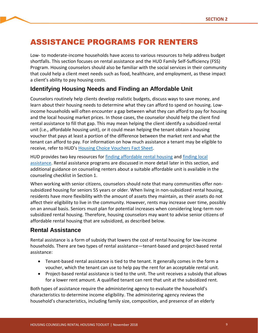# <span id="page-8-0"></span>ASSISTANCE PROGRAMS FOR RENTERS

Low- to moderate-income households have access to various resources to help address budget shortfalls. This section focuses on rental assistance and the HUD Family Self-Sufficiency (FSS) Program. Housing counselors should also be familiar with the social services in their community that could help a client meet needs such as food, healthcare, and employment, as these impact a client's ability to pay housing costs.

# **Identifying Housing Needs and Finding an Affordable Unit**

Counselors routinely help clients develop realistic budgets, discuss ways to save money, and learn about their housing needs to determine what they can afford to spend on housing. Lowincome households will often encounter a gap between what they can afford to pay for housing and the local housing market prices. In those cases, the counselor should help the client find rental assistance to fill that gap. This may mean helping the client identify a subsidized rental unit (i.e., affordable housing unit), or it could mean helping the tenant obtain a housing voucher that pays at least a portion of the difference between the market rent and what the tenant can afford to pay. For information on how much assistance a tenant may be eligible to receive, refer to HUD's [Housing Choice Vouchers Fact Sheet.](https://www.hud.gov/program_offices/public_indian_housing/programs/hcv/about/fact_sheet)

HUD provides two key resources for [finding affordable rental housing](https://www.hud.gov/topics/rental_assistance) and [finding local](https://www.hud.gov/topics/rental_assistance/local)  [assistance.](https://www.hud.gov/topics/rental_assistance/local) Rental assistance programs are discussed in more detail later in this section, and additional guidance on counseling renters about a suitable affordable unit is available in the counseling checklist in Section 1.

When working with senior citizens, counselors should note that many communities offer nonsubsidized housing for seniors 55 years or older. When living in non-subsidized rental housing, residents have more flexibility with the amount of assets they maintain, as their assets do not affect their eligibility to live in the community. However, rents may increase over time, possibly on an annual basis. Seniors must plan for potential increases when considering long-term nonsubsidized rental housing. Therefore, housing counselors may want to advise senior citizens of affordable rental housing that are subsidized, as described below.

### **Rental Assistance**

Rental assistance is a form of subsidy that lowers the cost of rental housing for low-income households. There are two types of rental assistance—tenant-based and project-based rental assistance:

- Tenant-based rental assistance is tied to the tenant. It generally comes in the form a voucher, which the tenant can use to help pay the rent for an acceptable rental unit.
- Project-based rental assistance is tied to the unit. The unit receives a subsidy that allows for a lower rent amount. A qualified tenant can rent that unit at the subsidized rent.

Both types of assistance require the administering agency to evaluate the household's characteristics to determine income eligibility. The administering agency reviews the household's characteristics, including family size, composition, and presence of an elderly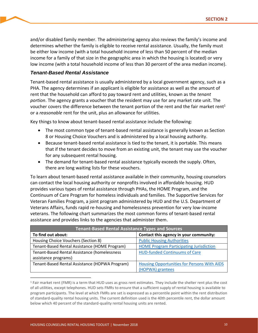and/or disabled family member. The administering agency also reviews the family's income and determines whether the family is eligible to receive rental assistance. Usually, the family must be either low income (with a total household income of less than 50 percent of the median income for a family of that size in the geographic area in which the housing is located) or very low income (with a total household income of less than 30 percent of the area median income).

#### *Tenant-Based Rental Assistance*

Tenant-based rental assistance is usually administered by a local government agency, such as a PHA. The agency determines if an applicant is eligible for assistance as well as the amount of rent that the household can afford to pay toward rent and utilities, known as the *tenant portion*. The agency grants a voucher that the resident may use for any market rate unit. The voucher covers the difference between the tenant portion of the rent and the fair market rent<sup>1</sup> or a *reasonable* rent for the unit, plus an allowance for utilities.

Key things to know about tenant-based rental assistance include the following:

- The most common type of tenant-based rental assistance is generally known as Section 8 or Housing Choice Vouchers and is administered by a local housing authority.
- Because tenant-based rental assistance is tied to the tenant, it is portable. This means that if the tenant decides to move from an existing unit, the tenant may use the voucher for any subsequent rental housing.
- The demand for tenant-based rental assistance typically exceeds the supply. Often, there are long waiting lists for these vouchers.

To learn about tenant-based rental assistance available in their community, housing counselors can contact the local housing authority or nonprofits involved in affordable housing. HUD provides various types of rental assistance through PHAs, the HOME Program, and the Continuum of Care Program for homeless individuals and families. The Supportive Services for Veteran Families Program, a joint program administered by HUD and the U.S. Department of Veterans Affairs, funds rapid re-housing and homelessness prevention for very low-income veterans. The following chart summarizes the most common forms of tenant-based rental assistance and provides links to the agencies that administer them.

| <b>Tenant-Based Rental Assistance Types and Sources</b> |                                                |  |  |
|---------------------------------------------------------|------------------------------------------------|--|--|
| To find out about:                                      | Contact this agency in your community:         |  |  |
| Housing Choice Vouchers (Section 8)                     | <b>Public Housing Authorities</b>              |  |  |
| Tenant-Based Rental Assistance (HOME Program)           | <b>HOME Program Participating Jurisdiction</b> |  |  |
| Tenant-Based Rental Assistance (homelessness            | <b>HUD-funded Continuums of Care</b>           |  |  |
| assistance programs)                                    |                                                |  |  |
| Tenant-Based Rental Assistance (HOPWA Program)          | Housing Opportunities for Persons With AIDS    |  |  |
|                                                         | (HOPWA) grantees                               |  |  |

 $1$  Fair market rent (FMR) is a term that HUD uses as gross rent estimates. They include the shelter rent plus the cost of all utilities, except telephones. HUD sets FMRs to ensure that a sufficient supply of rental housing is available to program participants. The level at which FMRs are set is expressed as a percentile point within the rent distribution of standard-quality rental housing units. The current definition used is the 40th percentile rent, the dollar amount below which 40 percent of the standard-quality rental housing units are rented.

 $\overline{a}$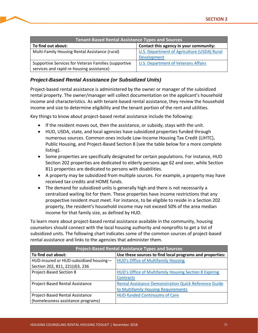| <b>Tenant-Based Rental Assistance Types and Sources</b> |                                             |  |
|---------------------------------------------------------|---------------------------------------------|--|
| To find out about:                                      | Contact this agency in your community:      |  |
| Multi-Family Housing Rental Assistance (rural)          | U.S. Department of Agriculture (USDA) Rural |  |
|                                                         | Development                                 |  |
| Supportive Services for Veteran Families (supportive    | U.S. Department of Veterans Affairs         |  |
| services and rapid re-housing assistance)               |                                             |  |

#### *Project-Based Rental Assistance (or Subsidized Units)*

Project-based rental assistance is administered by the owner or manager of the subsidized rental property. The owner/manager will collect documentation on the applicant's household income and characteristics. As with tenant-based rental assistance, they review the household income and size to determine eligibility and the tenant portion of the rent and utilities.

Key things to know about project-based rental assistance include the following:

- If the resident moves out, then the assistance, or subsidy, stays with the unit.
- HUD, USDA, state, and local agencies have subsidized properties funded through numerous sources. Common ones include Low-Income Housing Tax Credit (LIHTC), Public Housing, and Project-Based Section 8 (see the table below for a more complete listing).
- Some properties are specifically designated for certain populations. For instance, HUD Section 202 properties are dedicated to elderly persons age 62 and over, while Section 811 properties are dedicated to persons with disabilities.
- A property may be subsidized from multiple sources. For example, a property may have received tax credits and HOME funds.
- The demand for subsidized units is generally high and there is not necessarily a centralized waiting list for them. These properties have income restrictions that any prospective resident must meet. For instance, to be eligible to reside in a Section 202 property, the resident's household income may not exceed 50% of the area median income for that family size, as defined by HUD.

To learn more about project-based rental assistance available in the community, housing counselors should connect with the local housing authority and nonprofits to get a list of subsidized units. The following chart indicates some of the common sources of project-based rental assistance and links to the agencies that administer them.

| <b>Project-Based Rental Assistance Types and Sources</b> |                                                              |  |  |
|----------------------------------------------------------|--------------------------------------------------------------|--|--|
| To find out about:                                       | Use these sources to find local programs and properties:     |  |  |
| HUD-insured or HUD-subsidized housing-                   | <b>HUD's Office of Multifamily Housing</b>                   |  |  |
| Section 202, 811, 221(d)3, 236                           |                                                              |  |  |
| Project-Based Section 8                                  | HUD's Office of Multifamily Housing Section 8 Expiring       |  |  |
|                                                          | <b>Contracts</b>                                             |  |  |
| Project-Based Rental Assistance                          | <b>Rental Assistance Demonstration Quick Reference Guide</b> |  |  |
|                                                          | to Multifamily Housing Requirements                          |  |  |
| Project-Based Rental Assistance                          | <b>HUD-funded Continuums of Care</b>                         |  |  |
| (homelessness assistance programs)                       |                                                              |  |  |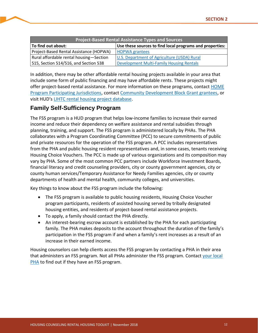| <b>Project-Based Rental Assistance Types and Sources</b> |                                                          |  |
|----------------------------------------------------------|----------------------------------------------------------|--|
| To find out about:                                       | Use these sources to find local programs and properties: |  |
| Project-Based Rental Assistance (HOPWA)                  | <b>HOPWA</b> grantees                                    |  |
| Rural affordable rental housing-Section                  | U.S. Department of Agriculture (USDA) Rural              |  |
| 515, Section 514/516, and Section 538                    | <b>Development Multi-Family Housing Rentals</b>          |  |

In addition, there may be other affordable rental housing projects available in your area that include some form of public financing and may have affordable rents. These projects might offer project-based rental assistance. For more information on these programs, contact [HOME](https://www.hudexchange.info/grantees/find-a-grantee/?state=&program=on¶ms=%7B%22limit%22%3A20%2C%22sort%22%3A%22%22%2C%22years%22%3A%5B%5D%2C%22searchTerm%22%3A%22%22%2C%22dir%22%3A%22%22%2C%22grantees%22%3A%5B%5D%2C%22state%22%3A%22%22%2C%22programs%22%3A%5B7%5D%7D)  [Program Participating Jurisdictions,](https://www.hudexchange.info/grantees/find-a-grantee/?state=&program=on¶ms=%7B%22limit%22%3A20%2C%22sort%22%3A%22%22%2C%22years%22%3A%5B%5D%2C%22searchTerm%22%3A%22%22%2C%22dir%22%3A%22%22%2C%22grantees%22%3A%5B%5D%2C%22state%22%3A%22%22%2C%22programs%22%3A%5B7%5D%7D) contact [Community Development Block Grant grantees,](https://www.hudexchange.info/grantees/contacts/?params=%7B%22limit%22%3A20%2C%22sort%22%3A%22%22%2C%22newSearch%22%3Atrue%2C%22order%22%3A%22%22%2C%22years%22%3A%5B%5D%2C%22searchTerm%22%3A%22%22%2C%22grantees%22%3A%5B%5D%2C%22state%22%3A%22%22%2C%22programs%22%3A%5B2%5D%7D) or visit HUD's [LIHTC rental housing project database.](https://lihtc.huduser.gov/)

# **Family Self-Sufficiency Program**

The FSS program is a HUD program that helps low-income families to increase their earned income and reduce their dependency on welfare assistance and rental subsidies through planning, training, and support. The FSS program is administered locally by PHAs. The PHA collaborates with a Program Coordinating Committee (PCC) to secure commitments of public and private resources for the operation of the FSS program. A PCC includes representatives from the PHA and public housing resident representatives and, in some cases, tenants receiving Housing Choice Vouchers. The PCC is made up of various organizations and its composition may vary by PHA. Some of the most common PCC partners include Workforce Investment Boards, financial literacy and credit counseling providers, city or county government agencies, city or county human services/Temporary Assistance for Needy Families agencies, city or county departments of health and mental health, community colleges, and universities.

Key things to know about the FSS program include the following:

- The FSS program is available to public housing residents, Housing Choice Voucher program participants, residents of assisted housing served by tribally designated housing entities, and residents of project-based rental assistance projects.
- To apply, a family should contact the PHA directly.
- An interest-bearing escrow account is established by the PHA for each participating family. The PHA makes deposits to the account throughout the duration of the family's participation in the FSS program if and when a family's rent increases as a result of an increase in their earned income.

Housing counselors can help clients access the FSS program by contacting a PHA in their area that administers an FSS program. Not all PHAs administer the FSS program. Contac[t your local](https://www.hud.gov/program_offices/public_indian_housing/pha/contacts)  **[PHA](https://www.hud.gov/program_offices/public_indian_housing/pha/contacts)** to find out if they have an FSS program.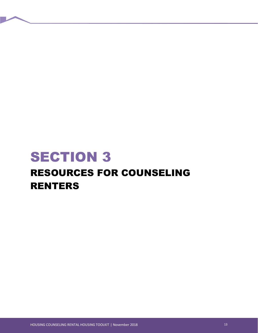# <span id="page-12-0"></span>**SECTION 3** RESOURCES FOR COUNSELING RENTERS